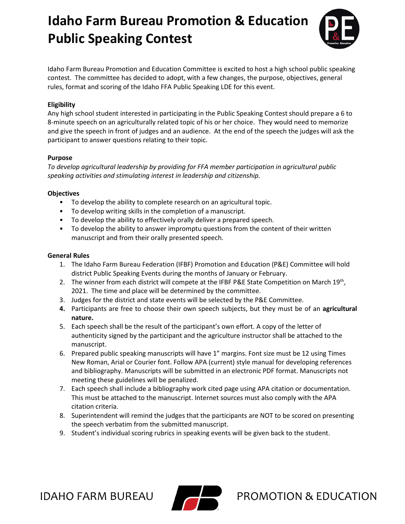

Idaho Farm Bureau Promotion and Education Committee is excited to host a high school public speaking contest. The committee has decided to adopt, with a few changes, the purpose, objectives, general rules, format and scoring of the Idaho FFA Public Speaking LDE for this event.

#### **Eligibility**

Any high school student interested in participating in the Public Speaking Contest should prepare a 6 to 8-minute speech on an agriculturally related topic of his or her choice. They would need to memorize and give the speech in front of judges and an audience. At the end of the speech the judges will ask the participant to answer questions relating to their topic.

#### **Purpose**

*To develop agricultural leadership by providing for FFA member participation in agricultural public speaking activities and stimulating interest in leadership and citizenship.*

### **Objectives**

- To develop the ability to complete research on an agricultural topic.
- To develop writing skills in the completion of a manuscript.
- To develop the ability to effectively orally deliver a prepared speech.
- To develop the ability to answer impromptu questions from the content of their written manuscript and from their orally presented speech.

### **General Rules**

- 1. The Idaho Farm Bureau Federation (IFBF) Promotion and Education (P&E) Committee will hold district Public Speaking Events during the months of January or February.
- 2. The winner from each district will compete at the IFBF P&E State Competition on March 19<sup>th</sup>, 2021. The time and place will be determined by the committee.
- 3. Judges for the district and state events will be selected by the P&E Committee.
- **4.** Participants are free to choose their own speech subjects, but they must be of an **agricultural nature.**
- 5. Each speech shall be the result of the participant's own effort. A copy of the letter of authenticity signed by the participant and the agriculture instructor shall be attached to the manuscript.
- 6. Prepared public speaking manuscripts will have 1" margins. Font size must be 12 using Times New Roman, Arial or Courier font. Follow APA (current) style manual for developing references and bibliography. Manuscripts will be submitted in an electronic PDF format. Manuscripts not meeting these guidelines will be penalized.
- 7. Each speech shall include a bibliography work cited page using APA citation or documentation. This must be attached to the manuscript. Internet sources must also comply with the APA citation criteria.
- 8. Superintendent will remind the judges that the participants are NOT to be scored on presenting the speech verbatim from the submitted manuscript.
- 9. Student's individual scoring rubrics in speaking events will be given back to the student.

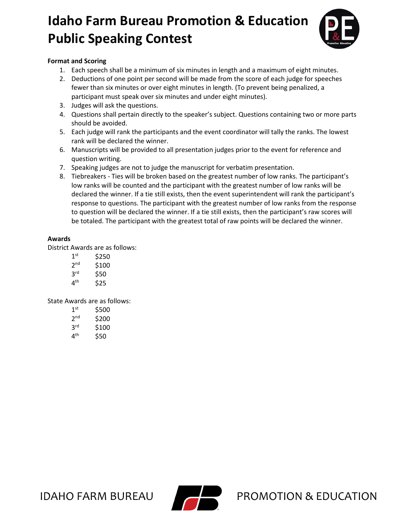

### **Format and Scoring**

- 1. Each speech shall be a minimum of six minutes in length and a maximum of eight minutes.
- 2. Deductions of one point per second will be made from the score of each judge for speeches fewer than six minutes or over eight minutes in length. (To prevent being penalized, a participant must speak over six minutes and under eight minutes).
- 3. Judges will ask the questions.
- 4. Questions shall pertain directly to the speaker's subject. Questions containing two or more parts should be avoided.
- 5. Each judge will rank the participants and the event coordinator will tally the ranks. The lowest rank will be declared the winner.
- 6. Manuscripts will be provided to all presentation judges prior to the event for reference and question writing.
- 7. Speaking judges are not to judge the manuscript for verbatim presentation.
- 8. Tiebreakers Ties will be broken based on the greatest number of low ranks. The participant's low ranks will be counted and the participant with the greatest number of low ranks will be declared the winner. If a tie still exists, then the event superintendent will rank the participant's response to questions. The participant with the greatest number of low ranks from the response to question will be declared the winner. If a tie still exists, then the participant's raw scores will be totaled. The participant with the greatest total of raw points will be declared the winner.

### **Awards**

District Awards are as follows:

- $1<sup>st</sup>$  \$250 2<sup>nd</sup> \$100  $3^{\text{rd}}$  \$50<br> $4^{\text{th}}$  \$25
- **\$25**

State Awards are as follows:

| 1 <sup>st</sup> | \$500 |
|-----------------|-------|
| 2 <sub>nd</sub> | \$200 |
| 3 <sup>rd</sup> | \$100 |
| 4 <sup>th</sup> | \$50  |

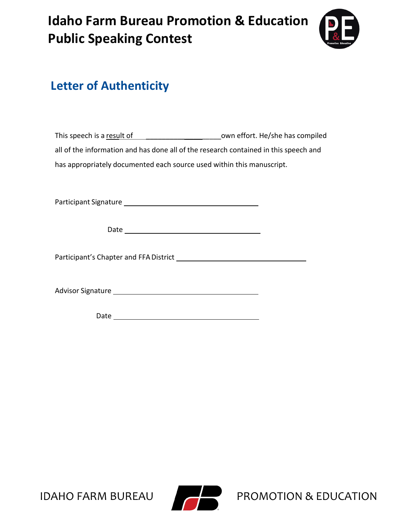

### **Letter of Authenticity**

| This speech is a result of                                                           | own effort. He/she has compiled |
|--------------------------------------------------------------------------------------|---------------------------------|
| all of the information and has done all of the research contained in this speech and |                                 |
| has appropriately documented each source used within this manuscript.                |                                 |

Participant Signature

Date and the contract of the contract of the contract of the contract of the contract of the contract of the contract of the contract of the contract of the contract of the contract of the contract of the contract of the c

Participant's Chapter and FFADistrict

Advisor Signature

Date

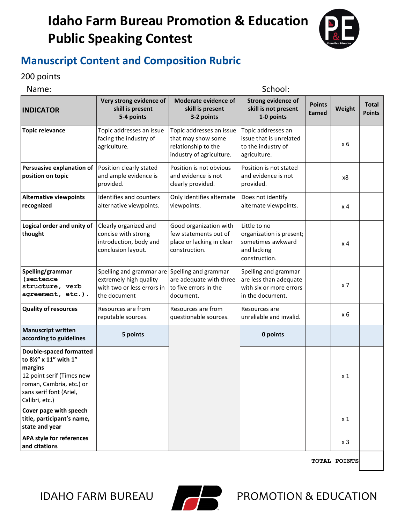

### **Manuscript Content and Composition Rubric**

### 200 points

| Name:                                                                                                                                                                   |                                                                                                  | School:                                                                                           |                                                                                               |                                |                  |                               |
|-------------------------------------------------------------------------------------------------------------------------------------------------------------------------|--------------------------------------------------------------------------------------------------|---------------------------------------------------------------------------------------------------|-----------------------------------------------------------------------------------------------|--------------------------------|------------------|-------------------------------|
| <b>INDICATOR</b>                                                                                                                                                        | Very strong evidence of<br>skill is present<br>5-4 points                                        | Moderate evidence of<br>skill is present<br>3-2 points                                            | <b>Strong evidence of</b><br>skill is not present<br>1-0 points                               | <b>Points</b><br><b>Earned</b> | Weight           | <b>Total</b><br><b>Points</b> |
| <b>Topic relevance</b>                                                                                                                                                  | Topic addresses an issue<br>facing the industry of<br>agriculture.                               | Topic addresses an issue<br>that may show some<br>relationship to the<br>industry of agriculture. | Topic addresses an<br>issue that is unrelated<br>to the industry of<br>agriculture.           |                                | x 6              |                               |
| Persuasive explanation of<br>position on topic                                                                                                                          | Position clearly stated<br>and ample evidence is<br>provided.                                    | Position is not obvious<br>and evidence is not<br>clearly provided.                               | Position is not stated<br>and evidence is not<br>provided.                                    |                                | x8               |                               |
| <b>Alternative viewpoints</b><br>recognized                                                                                                                             | Identifies and counters<br>alternative viewpoints.                                               | Only identifies alternate<br>viewpoints.                                                          | Does not identify<br>alternate viewpoints.                                                    |                                | x <sub>4</sub>   |                               |
| Logical order and unity of<br>thought                                                                                                                                   | Clearly organized and<br>concise with strong<br>introduction, body and<br>conclusion layout.     | Good organization with<br>few statements out of<br>place or lacking in clear<br>construction.     | Little to no<br>organization is present;<br>sometimes awkward<br>and lacking<br>construction. |                                | $\times$ 4       |                               |
| Spelling/grammar<br><i>(sentence)</i><br>structure, verb<br>agreement, etc.).                                                                                           | Spelling and grammar are<br>extremely high quality<br>with two or less errors in<br>the document | Spelling and grammar<br>are adequate with three<br>to five errors in the<br>document.             | Spelling and grammar<br>are less than adequate<br>with six or more errors<br>in the document. |                                | $x \overline{7}$ |                               |
| <b>Quality of resources</b>                                                                                                                                             | Resources are from<br>reputable sources.                                                         | Resources are from<br>questionable sources.                                                       | Resources are<br>unreliable and invalid.                                                      |                                | x 6              |                               |
| <b>Manuscript written</b><br>according to guidelines                                                                                                                    | 5 points                                                                                         |                                                                                                   | 0 points                                                                                      |                                |                  |                               |
| <b>Double-spaced formatted</b><br>to 8½" x 11" with 1"<br>margins<br>12 point serif (Times new<br>roman, Cambria, etc.) or<br>sans serif font (Ariel,<br>Calibri, etc.) |                                                                                                  |                                                                                                   |                                                                                               |                                | x 1              |                               |
| Cover page with speech<br>title, participant's name,<br>state and year                                                                                                  |                                                                                                  |                                                                                                   |                                                                                               |                                | $x_1$            |                               |
| <b>APA style for references</b><br>and citations                                                                                                                        |                                                                                                  |                                                                                                   |                                                                                               |                                | x 3              |                               |

**TOTAL POINTS**